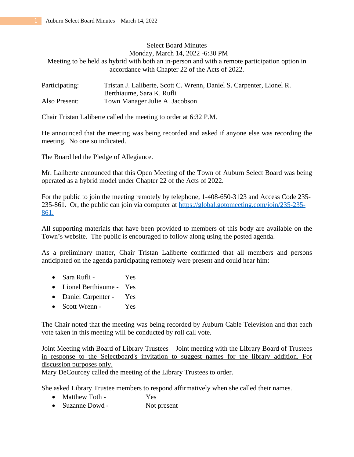# Select Board Minutes Monday, March 14, 2022 -6:30 PM Meeting to be held as hybrid with both an in-person and with a remote participation option in accordance with Chapter 22 of the Acts of 2022.

| Participating: | Tristan J. Laliberte, Scott C. Wrenn, Daniel S. Carpenter, Lionel R. |
|----------------|----------------------------------------------------------------------|
|                | Berthiaume, Sara K. Rufli                                            |
| Also Present:  | Town Manager Julie A. Jacobson                                       |

Chair Tristan Laliberte called the meeting to order at 6:32 P.M.

He announced that the meeting was being recorded and asked if anyone else was recording the meeting. No one so indicated.

The Board led the Pledge of Allegiance.

Mr. Laliberte announced that this Open Meeting of the Town of Auburn Select Board was being operated as a hybrid model under Chapter 22 of the Acts of 2022.

For the public to join the meeting remotely by telephone, 1-408-650-3123 and Access Code 235- 235-861*.* Or, the public can join via computer at [https://global.gotomeeting.com/join/235-235-](https://global.gotomeeting.com/join/235-235-861) 861.

All supporting materials that have been provided to members of this body are available on the Town's website. The public is encouraged to follow along using the posted agenda.

As a preliminary matter, Chair Tristan Laliberte confirmed that all members and persons anticipated on the agenda participating remotely were present and could hear him:

- Sara Rufli Yes
- Lionel Berthiaume Yes
- Daniel Carpenter Yes
- Scott Wrenn Yes

The Chair noted that the meeting was being recorded by Auburn Cable Television and that each vote taken in this meeting will be conducted by roll call vote.

Joint Meeting with Board of Library Trustees – Joint meeting with the Library Board of Trustees in response to the Selectboard's invitation to suggest names for the library addition. For discussion purposes only.

Mary DeCourcey called the meeting of the Library Trustees to order.

She asked Library Trustee members to respond affirmatively when she called their names.

- Matthew Toth Yes
- Suzanne Dowd Not present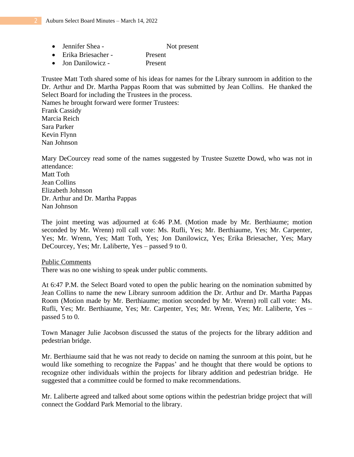- Jennifer Shea Not present
- Erika Briesacher Present
- Jon Danilowicz Present

Trustee Matt Toth shared some of his ideas for names for the Library sunroom in addition to the Dr. Arthur and Dr. Martha Pappas Room that was submitted by Jean Collins. He thanked the Select Board for including the Trustees in the process.

Names he brought forward were former Trustees: Frank Cassidy Marcia Reich Sara Parker Kevin Flynn Nan Johnson

Mary DeCourcey read some of the names suggested by Trustee Suzette Dowd, who was not in attendance: Matt Toth Jean Collins Elizabeth Johnson Dr. Arthur and Dr. Martha Pappas Nan Johnson

The joint meeting was adjourned at 6:46 P.M. (Motion made by Mr. Berthiaume; motion seconded by Mr. Wrenn) roll call vote: Ms. Rufli, Yes; Mr. Berthiaume, Yes; Mr. Carpenter, Yes; Mr. Wrenn, Yes; Matt Toth, Yes; Jon Danilowicz, Yes; Erika Briesacher, Yes; Mary DeCourcey, Yes; Mr. Laliberte, Yes – passed 9 to 0.

## Public Comments

There was no one wishing to speak under public comments.

At 6:47 P.M. the Select Board voted to open the public hearing on the nomination submitted by Jean Collins to name the new Library sunroom addition the Dr. Arthur and Dr. Martha Pappas Room (Motion made by Mr. Berthiaume; motion seconded by Mr. Wrenn) roll call vote: Ms. Rufli, Yes; Mr. Berthiaume, Yes; Mr. Carpenter, Yes; Mr. Wrenn, Yes; Mr. Laliberte, Yes – passed 5 to 0.

Town Manager Julie Jacobson discussed the status of the projects for the library addition and pedestrian bridge.

Mr. Berthiaume said that he was not ready to decide on naming the sunroom at this point, but he would like something to recognize the Pappas' and he thought that there would be options to recognize other individuals within the projects for library addition and pedestrian bridge. He suggested that a committee could be formed to make recommendations.

Mr. Laliberte agreed and talked about some options within the pedestrian bridge project that will connect the Goddard Park Memorial to the library.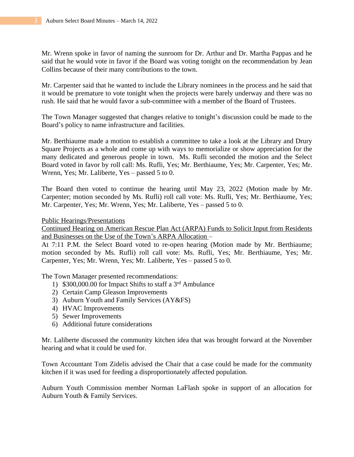Mr. Wrenn spoke in favor of naming the sunroom for Dr. Arthur and Dr. Martha Pappas and he said that he would vote in favor if the Board was voting tonight on the recommendation by Jean Collins because of their many contributions to the town.

Mr. Carpenter said that he wanted to include the Library nominees in the process and he said that it would be premature to vote tonight when the projects were barely underway and there was no rush. He said that he would favor a sub-committee with a member of the Board of Trustees.

The Town Manager suggested that changes relative to tonight's discussion could be made to the Board's policy to name infrastructure and facilities.

Mr. Berthiaume made a motion to establish a committee to take a look at the Library and Drury Square Projects as a whole and come up with ways to memorialize or show appreciation for the many dedicated and generous people in town. Ms. Rufli seconded the motion and the Select Board voted in favor by roll call: Ms. Rufli, Yes; Mr. Berthiaume, Yes; Mr. Carpenter, Yes; Mr. Wrenn, Yes; Mr. Laliberte, Yes – passed 5 to 0.

The Board then voted to continue the hearing until May 23, 2022 (Motion made by Mr. Carpenter; motion seconded by Ms. Rufli) roll call vote: Ms. Rufli, Yes; Mr. Berthiaume, Yes; Mr. Carpenter, Yes; Mr. Wrenn, Yes; Mr. Laliberte, Yes – passed 5 to 0.

Public Hearings/Presentations

Continued Hearing on American Rescue Plan Act (ARPA) Funds to Solicit Input from Residents and Businesses on the Use of the Town's ARPA Allocation –

At 7:11 P.M. the Select Board voted to re-open hearing (Motion made by Mr. Berthiaume; motion seconded by Ms. Rufli) roll call vote: Ms. Rufli, Yes; Mr. Berthiaume, Yes; Mr. Carpenter, Yes; Mr. Wrenn, Yes; Mr. Laliberte, Yes – passed 5 to 0.

The Town Manager presented recommendations:

- 1) \$300,000.00 for Impact Shifts to staff a 3rd Ambulance
- 2) Certain Camp Gleason Improvements
- 3) Auburn Youth and Family Services (AY&FS)
- 4) HVAC Improvements
- 5) Sewer Improvements
- 6) Additional future considerations

Mr. Laliberte discussed the community kitchen idea that was brought forward at the November hearing and what it could be used for.

Town Accountant Tom Zidelis advised the Chair that a case could be made for the community kitchen if it was used for feeding a disproportionately affected population.

Auburn Youth Commission member Norman LaFlash spoke in support of an allocation for Auburn Youth & Family Services.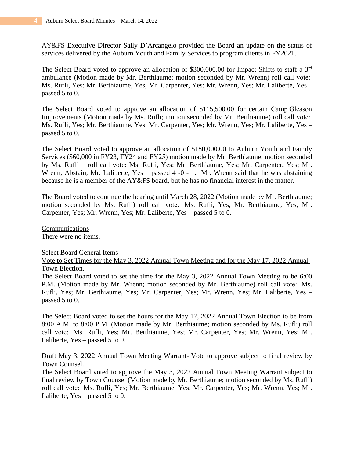AY&FS Executive Director Sally D'Arcangelo provided the Board an update on the status of services delivered by the Auburn Youth and Family Services to program clients in FY2021.

The Select Board voted to approve an allocation of \$300,000.00 for Impact Shifts to staff a 3<sup>rd</sup> ambulance (Motion made by Mr. Berthiaume; motion seconded by Mr. Wrenn) roll call vote: Ms. Rufli, Yes; Mr. Berthiaume, Yes; Mr. Carpenter, Yes; Mr. Wrenn, Yes; Mr. Laliberte, Yes – passed 5 to 0.

The Select Board voted to approve an allocation of \$115,500.00 for certain Camp Gleason Improvements (Motion made by Ms. Rufli; motion seconded by Mr. Berthiaume) roll call vote: Ms. Rufli, Yes; Mr. Berthiaume, Yes; Mr. Carpenter, Yes; Mr. Wrenn, Yes; Mr. Laliberte, Yes – passed 5 to 0.

The Select Board voted to approve an allocation of \$180,000.00 to Auburn Youth and Family Services (\$60,000 in FY23, FY24 and FY25) motion made by Mr. Berthiaume; motion seconded by Ms. Rufli – roll call vote: Ms. Rufli, Yes; Mr. Berthiaume, Yes; Mr. Carpenter, Yes; Mr. Wrenn, Abstain; Mr. Laliberte, Yes – passed 4 -0 - 1. Mr. Wrenn said that he was abstaining because he is a member of the AY&FS board, but he has no financial interest in the matter.

The Board voted to continue the hearing until March 28, 2022 (Motion made by Mr. Berthiaume; motion seconded by Ms. Rufli) roll call vote: Ms. Rufli, Yes; Mr. Berthiaume, Yes; Mr. Carpenter, Yes; Mr. Wrenn, Yes; Mr. Laliberte, Yes – passed 5 to 0.

Communications There were no items.

#### Select Board General Items

Vote to Set Times for the May 3, 2022 Annual Town Meeting and for the May 17, 2022 Annual Town Election.

The Select Board voted to set the time for the May 3, 2022 Annual Town Meeting to be 6:00 P.M. (Motion made by Mr. Wrenn; motion seconded by Mr. Berthiaume) roll call vote: Ms. Rufli, Yes; Mr. Berthiaume, Yes; Mr. Carpenter, Yes; Mr. Wrenn, Yes; Mr. Laliberte, Yes – passed 5 to 0.

The Select Board voted to set the hours for the May 17, 2022 Annual Town Election to be from 8:00 A.M. to 8:00 P.M. (Motion made by Mr. Berthiaume; motion seconded by Ms. Rufli) roll call vote: Ms. Rufli, Yes; Mr. Berthiaume, Yes; Mr. Carpenter, Yes; Mr. Wrenn, Yes; Mr. Laliberte, Yes – passed 5 to 0.

## Draft May 3, 2022 Annual Town Meeting Warrant- Vote to approve subject to final review by Town Counsel.

The Select Board voted to approve the May 3, 2022 Annual Town Meeting Warrant subject to final review by Town Counsel (Motion made by Mr. Berthiaume; motion seconded by Ms. Rufli) roll call vote: Ms. Rufli, Yes; Mr. Berthiaume, Yes; Mr. Carpenter, Yes; Mr. Wrenn, Yes; Mr. Laliberte,  $Yes - passed 5 to 0$ .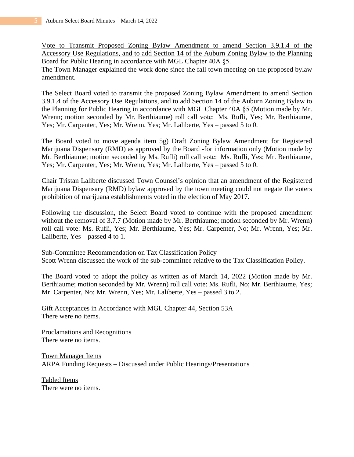Vote to Transmit Proposed Zoning Bylaw Amendment to amend Section 3.9.1.4 of the Accessory Use Regulations, and to add Section 14 of the Auburn Zoning Bylaw to the Planning Board for Public Hearing in accordance with MGL Chapter 40A §5.

The Town Manager explained the work done since the fall town meeting on the proposed bylaw amendment.

The Select Board voted to transmit the proposed Zoning Bylaw Amendment to amend Section 3.9.1.4 of the Accessory Use Regulations, and to add Section 14 of the Auburn Zoning Bylaw to the Planning for Public Hearing in accordance with MGL Chapter 40A §5 (Motion made by Mr. Wrenn; motion seconded by Mr. Berthiaume) roll call vote: Ms. Rufli, Yes; Mr. Berthiaume, Yes; Mr. Carpenter, Yes; Mr. Wrenn, Yes; Mr. Laliberte, Yes – passed 5 to 0.

The Board voted to move agenda item 5g) Draft Zoning Bylaw Amendment for Registered Marijuana Dispensary (RMD) as approved by the Board -for information only (Motion made by Mr. Berthiaume; motion seconded by Ms. Rufli) roll call vote: Ms. Rufli, Yes; Mr. Berthiaume, Yes; Mr. Carpenter, Yes; Mr. Wrenn, Yes; Mr. Laliberte, Yes – passed 5 to 0.

Chair Tristan Laliberte discussed Town Counsel's opinion that an amendment of the Registered Marijuana Dispensary (RMD) bylaw approved by the town meeting could not negate the voters prohibition of marijuana establishments voted in the election of May 2017.

Following the discussion, the Select Board voted to continue with the proposed amendment without the removal of 3.7.7 (Motion made by Mr. Berthiaume; motion seconded by Mr. Wrenn) roll call vote: Ms. Rufli, Yes; Mr. Berthiaume, Yes; Mr. Carpenter, No; Mr. Wrenn, Yes; Mr. Laliberte, Yes – passed 4 to 1.

Sub-Committee Recommendation on Tax Classification Policy Scott Wrenn discussed the work of the sub-committee relative to the Tax Classification Policy.

The Board voted to adopt the policy as written as of March 14, 2022 (Motion made by Mr. Berthiaume; motion seconded by Mr. Wrenn) roll call vote: Ms. Rufli, No; Mr. Berthiaume, Yes; Mr. Carpenter, No; Mr. Wrenn, Yes; Mr. Laliberte, Yes – passed 3 to 2.

Gift Acceptances in Accordance with MGL Chapter 44, Section 53A There were no items.

Proclamations and Recognitions There were no items.

Town Manager Items ARPA Funding Requests – Discussed under Public Hearings/Presentations

Tabled Items There were no items.